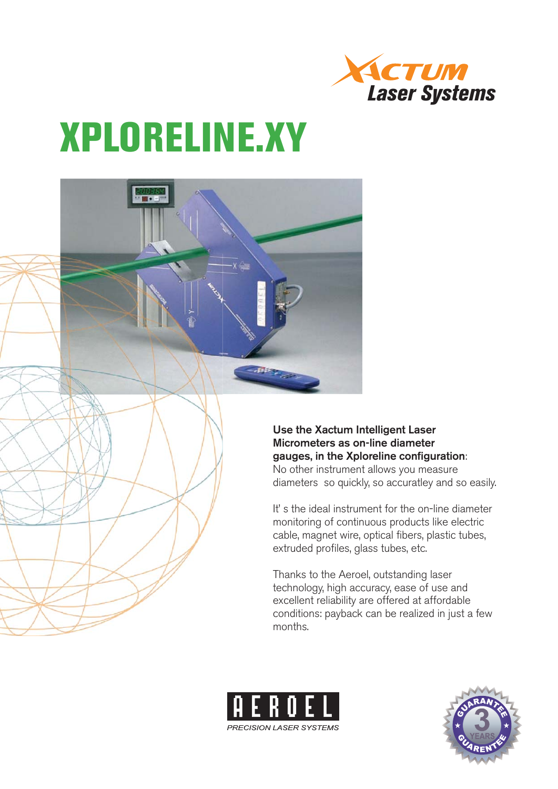

# **XPLORELINE.XY**



It' s the ideal instrument for the on-line diameter monitoring of continuous products like electric cable, magnet wire, optical fibers, plastic tubes, extruded profiles, glass tubes, etc.

Thanks to the Aeroel, outstanding laser technology, high accuracy, ease of use and excellent reliability are offered at affordable conditions: payback can be realized in just a few months.



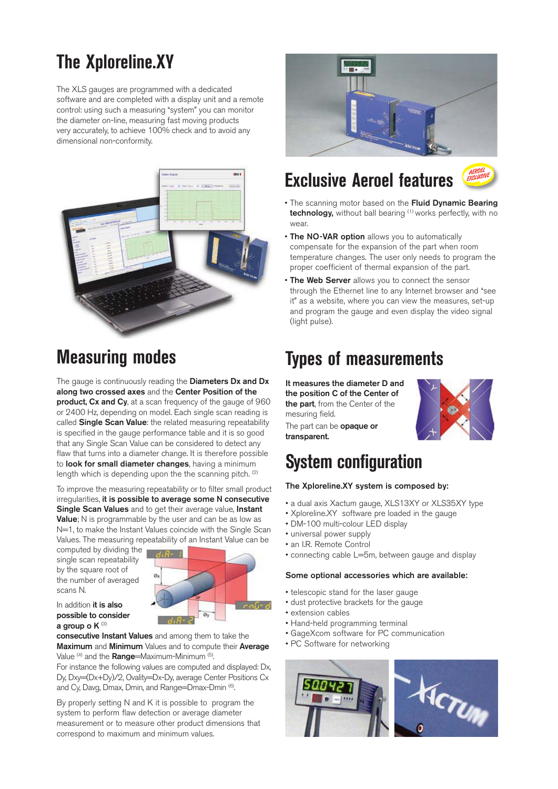# **The Xploreline.XY**

The XLS gauges are programmed with a dedicated software and are completed with a display unit and a remote control: using such a measuring "system" you can monitor the diameter on-line, measuring fast moving products very accurately, to achieve 100% check and to avoid any dimensional non-conformity.



# **Measuring modes**

The gauge is continuously reading the **Diameters Dx and Dx along two crossed axes** and the **Center Position of the product, Cx and Cy,** at a scan frequency of the gauge of 960 or 2400 Hz, depending on model. Each single scan reading is called **Single Scan Value**: the related measuring repeatability is specified in the gauge performance table and it is so good that any Single Scan Value can be considered to detect any flaw that turns into a diameter change. It is therefore possible to **look for small diameter changes**, having a minimum length which is depending upon the the scanning pitch. <sup>(2)</sup>

To improve the measuring repeatability or to filter small product irregularities, **it is possible to average some N consecutive Single Scan Values** and to get their average value, **Instant Value**; N is programmable by the user and can be as low as N=1, to make the Instant Values coincide with the Single Scan Values. The measuring repeatability of an Instant Value can be

computed by dividing the single scan repeatability by the square root of the number of averaged scans N.



In addition **it is also possible to consider a group o K** (3)

**consecutive Instant Values** and among them to take the **Maximum** and **Minimum** Values and to compute their **Average** Value (4) and the **Range**=Maximum-Minimum (5).

For instance the following values are computed and displayed: Dx, Dy, Dxy=(Dx+Dy)/2, Ovality=Dx-Dy, average Center Positions Cx and Cy, Davg, Dmax, Dmin, and Range=Dmax-Dmin (6).

By properly setting N and K it is possible to program the system to perform flaw detection or average diameter measurement or to measure other product dimensions that correspond to maximum and minimum values.



# **Exclusive Aeroel features**



- The scanning motor based on the **Fluid Dynamic Bearing technology,** without ball bearing <sup>(1)</sup> works perfectly, with no wear.
- **The NO-VAR option** allows you to automatically compensate for the expansion of the part when room temperature changes. The user only needs to program the proper coefficient of thermal expansion of the part.
- **The Web Server** allows you to connect the sensor through the Ethernet line to any Internet browser and "see it" as a website, where you can view the measures, set-up and program the gauge and even display the video signal (light pulse).

# **Types of measurements**

**It measures the diameter D and the position C of the Center of the part**, from the Center of the mesuring field.

The part can be **opaque or transparent.**



# **System configuration**

#### **The Xploreline.XY system is composed by:**

- a dual axis Xactum gauge, XLS13XY or XLS35XY type
- Xploreline.XY software pre loaded in the gauge
- DM-100 multi-colour LED display
- universal power supply
- an I.R. Remote Control
- connecting cable L=5m, between gauge and display

#### **Some optional accessories which are available:**

- telescopic stand for the laser gauge
- dust protective brackets for the gauge
- extension cables
- Hand-held programming terminal
- GageXcom software for PC communication
- PC Software for networking

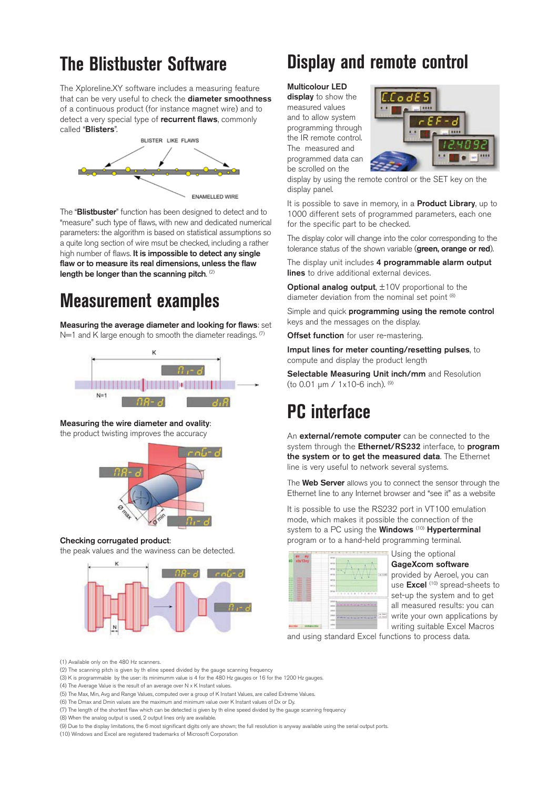# **The Blistbuster Software**

The Xploreline.XY software includes a measuring feature that can be very useful to check the **diameter smoothness** of a continuous product (for instance magnet wire) and to detect a very special type of **recurrent flaws**, commonly called "**Blisters**".



The "**Blistbuster**" function has been designed to detect and to "measure" such type of flaws, with new and dedicated numerical parameters: the algorithm is based on statistical assumptions so a quite long section of wire msut be checked, including a rather high number of flaws. **It is impossible to detect any single flaw or to measure its real dimensions, unless the flaw length be longer than the scanning pitch**. (2)

# **Measurement examples**

**Measuring the average diameter and looking for flaws**: set  $N=1$  and K large enough to smooth the diameter readings.  $(7)$ 



#### **Measuring the wire diameter and ovality**:

the product twisting improves the accuracy



#### **Checking corrugated product**:

the peak values and the waviness can be detected.



# **Display and remote control**

#### **Multicolour LED**

**display** to show the measured values and to allow system programming through the IR remote control. The measured and programmed data can be scrolled on the



display by using the remote control or the SET key on the display panel.

It is possible to save in memory, in a **Product Library**, up to 1000 different sets of programmed parameters, each one for the specific part to be checked.

The display color will change into the color corresponding to the tolerance status of the shown variable (**green, orange or red**).

The display unit includes **4 programmable alarm output lines** to drive additional external devices.

**Optional analog output,**  $\pm$ **10V proportional to the** diameter deviation from the nominal set point (8)

Simple and quick **programming using the remote control** keys and the messages on the display.

**Offset function** for user re-mastering.

**Imput lines for meter counting/resetting pulses**, to compute and display the product length

**Selectable Measuring Unit inch/mm** and Resolution (to 0.01 μm / 1x10-6 inch). (9)

# **PC interface**

An **external/remote computer** can be connected to the system through the **Ethernet/RS232** interface, to **program the system or to get the measured data**. The Ethernet line is very useful to network several systems.

The **Web Server** allows you to connect the sensor through the Ethernet line to any Internet browser and "see it" as a website

It is possible to use the RS232 port in VT100 emulation mode, which makes it possible the connection of the system to a PC using the **Windows** (10) **Hyperterminal** program or to a hand-held programming terminal.

| $\frac{ax - ay}{x+13xy}$<br><b>STATE</b><br><b>Select</b><br>ш<br><b>Service</b><br>ш<br>-<br>٠<br>÷<br>m<br>٠<br>-<br>- 11<br>в<br>÷<br>-<br>$-1$<br><br>-<br><br>. . | $-$<br>$rac{1}{2}$<br>and cars.<br>$-1$<br>42<br><b>ACA</b><br>w<br>w<br>u<br><b>SILLER</b><br>1.741414141444 |
|------------------------------------------------------------------------------------------------------------------------------------------------------------------------|---------------------------------------------------------------------------------------------------------------|
| $\sim$<br>×<br>۰<br>۰<br>-<br><br>-                                                                                                                                    | <b>DECK A</b><br>statistic state where the<br>٠<br>$-14$<br>Call tour<br><b>Printed and Council Columns</b>   |

Using the optional **GageXcom software** provided by Aeroel, you can use **Excel** (10) spread-sheets to set-up the system and to get all measured results: you can write your own applications by writing suitable Excel Macros

and using standard Excel functions to process data.

(1) Available only on the 480 Hz scanners.

(2) The scanning pitch is given by th eline speed divided by the gauge scanning frequency

(3) K is programmable by the user: its minimumm value is 4 for the 480 Hz gauges or 16 for the 1200 Hz gauges.

(4) The Average Value is the result of an average over N x K Instant values.

(5) The Max, Min, Avg and Range Values, computed over a group of K Instant Values, are called Extreme Values.

(6) The Dmax and Dmin values are the maximum and minimum value over K Instant values of Dx or Dy.

(7) The length of the shortest flaw which can be detected is given by th eline speed divided by the gauge scanning frequency

(8) When the analog output is used, 2 output lines only are available.

(9) Due to the display limitations, the 6 most significant digits only are shown; the full resolution is anyway available using the serial output ports.

(10) Windows and Excel are registered trademarks of Microsoft Corporation